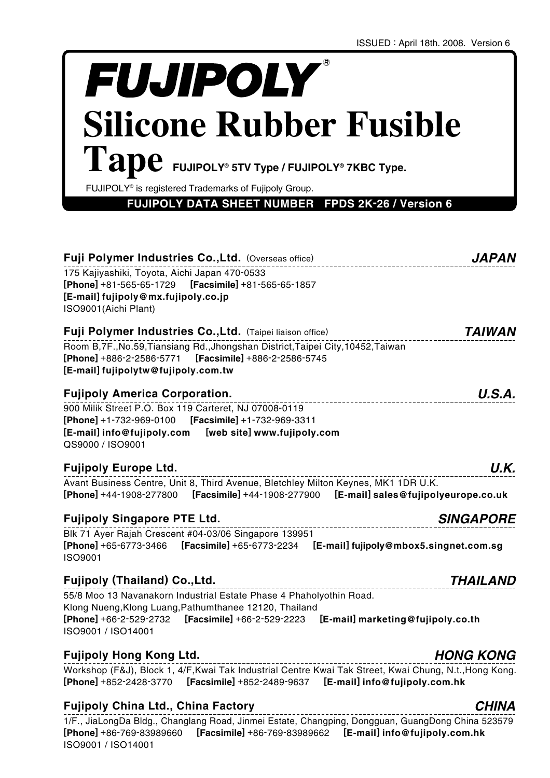# **FUJIPOLY Silicone Rubber Fusible**   $\boldsymbol{\mathrm{Tape}}$  FUJIPOLY® 5TV Type / FUJIPOLY® 7KBC Type.

FUJIPOLY® is registered Trademarks of Fujipoly Group.

**FUJIPOLY DATA SHEET NUMBER FPDS 2K-26 / Version 6**

| Fuji Polymer Industries Co., Ltd. (Overseas office)                                                                                                                                                                                                     | <i><b>JAPAN</b></i>  |
|---------------------------------------------------------------------------------------------------------------------------------------------------------------------------------------------------------------------------------------------------------|----------------------|
| 175 Kajiyashiki, Toyota, Aichi Japan 470-0533<br><b>[Phone]</b> +81-565-65-1729<br>$[Feasimile] +81 -565 -65 -1857$<br>[E-mail] fujipoly@mx.fujipoly.co.jp<br>ISO9001(Aichi Plant)                                                                      |                      |
| Fuji Polymer Industries Co., Ltd. (Taipei liaison office)                                                                                                                                                                                               | <i><b>TAIWAN</b></i> |
| Room B,7F., No.59, Tiansiang Rd., Jhongshan District, Taipei City, 10452, Taiwan<br>[E-mail] fujipolytw@fujipoly.com.tw                                                                                                                                 |                      |
| <b>Fujipoly America Corporation.</b>                                                                                                                                                                                                                    | U.S.A.               |
| 900 Milik Street P.O. Box 119 Carteret, NJ 07008-0119<br>QS9000 / ISO9001                                                                                                                                                                               |                      |
| Fujipoly Europe Ltd.                                                                                                                                                                                                                                    | U.K.                 |
| Avant Business Centre, Unit 8, Third Avenue, Bletchley Milton Keynes, MK1 1DR U.K.<br>[Phone] +44-1908-277800 [Facsimile] +44-1908-277900 [E-mail] sales@fujipolyeurope.co.uk                                                                           |                      |
| <b>Fujipoly Singapore PTE Ltd.</b>                                                                                                                                                                                                                      | <b>SINGAPORE</b>     |
| Blk 71 Ayer Rajah Crescent #04-03/06 Singapore 139951<br>[Phone] +65-6773-3466 [Facsimile] +65-6773-2234 [E-mail] fujipoly@mbox5.singnet.com.sg<br>ISO9001                                                                                              |                      |
| Fujipoly (Thailand) Co.,Ltd.                                                                                                                                                                                                                            | <b>THAILAND</b>      |
| 55/8 Moo 13 Navanakorn Industrial Estate Phase 4 Phaholyothin Road.<br>Klong Nueng, Klong Luang, Pathumthanee 12120, Thailand<br><b>[Phone]</b> +66-2-529-2732<br>[Facsimile] +66-2-529-2223<br>[E-mail] marketing@fujipoly.co.th<br>ISO9001 / ISO14001 |                      |

# **Fujipoly Hong Kong Ltd.**

Workshop (F&J), Block 1, 4/F,Kwai Tak Industrial Centre Kwai Tak Street, Kwai Chung, N.t.,Hong Kong. **[Phone]** +852-2428-3770 **[Facsimile]** +852-2489-9637 **[E-mail] info@fujipoly.com.hk**

# **Fujipoly China Ltd., China Factory**

1/F., JiaLongDa Bldg., Changlang Road, Jinmei Estate, Changping, Dongguan, GuangDong China 523579 **[Phone]** +86-769-83989660 **[Facsimile]** +86-769-83989662 **[E-mail] info@fujipoly.com.hk** ISO9001 / ISO14001

# **CHINA**

**HONG KONG**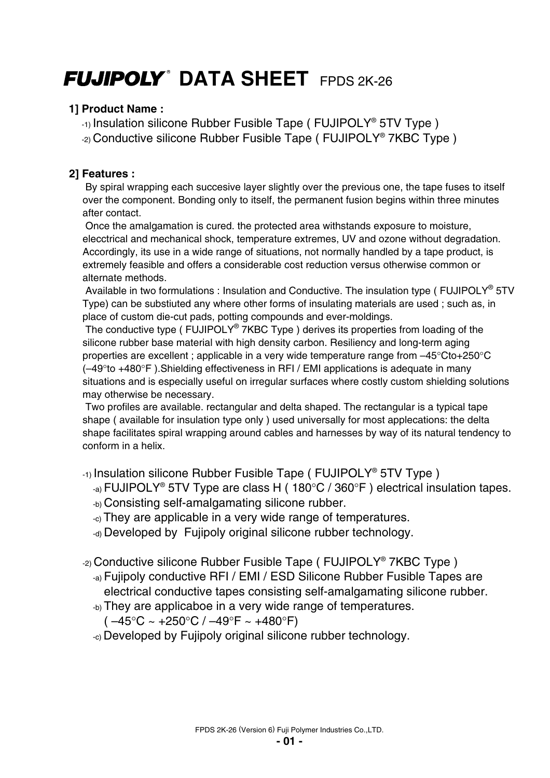# **FUJIPOLY<sup>®</sup> DATA SHEET** FPDS 2K-26

# **1] Product Name :**

-1) Insulation silicone Rubber Fusible Tape ( FUJIPOLY® 5TV Type )

-2) Conductive silicone Rubber Fusible Tape ( FUJIPOLY® 7KBC Type )

# **2] Features :**

 By spiral wrapping each succesive layer slightly over the previous one, the tape fuses to itself over the component. Bonding only to itself, the permanent fusion begins within three minutes after contact.

 Once the amalgamation is cured. the protected area withstands exposure to moisture, elecctrical and mechanical shock, temperature extremes, UV and ozone without degradation. Accordingly, its use in a wide range of situations, not normally handled by a tape product, is extremely feasible and offers a considerable cost reduction versus otherwise common or alternate methods.

Available in two formulations : Insulation and Conductive. The insulation type (FUJIPOLY<sup>®</sup> 5TV Type) can be substiuted any where other forms of insulating materials are used ; such as, in place of custom die-cut pads, potting compounds and ever-moldings.

The conductive type (FUJIPOLY<sup>®</sup> 7KBC Type) derives its properties from loading of the silicone rubber base material with high density carbon. Resiliency and long-term aging properties are excellent ; applicable in a very wide temperature range from –45°Cto+250°C (–49°to +480°F ).Shielding effectiveness in RFI / EMI applications is adequate in many situations and is especially useful on irregular surfaces where costly custom shielding solutions may otherwise be necessary.

 Two profiles are available. rectangular and delta shaped. The rectangular is a typical tape shape ( available for insulation type only ) used universally for most applecations: the delta shape facilitates spiral wrapping around cables and harnesses by way of its natural tendency to conform in a helix.

-1) Insulation silicone Rubber Fusible Tape ( FUJIPOLY® 5TV Type )

- -a) FUJIPOLY® 5TV Type are class H ( 180°C / 360°F ) electrical insulation tapes.
- -b) Consisting self-amalgamating silicone rubber.
- -c) They are applicable in a very wide range of temperatures.
- -d) Developed by Fujipoly original silicone rubber technology.

-2) Conductive silicone Rubber Fusible Tape ( FUJIPOLY® 7KBC Type )

- -a) Fujipoly conductive RFI / EMI / ESD Silicone Rubber Fusible Tapes are electrical conductive tapes consisting self-amalgamating silicone rubber.
- -b) They are applicaboe in a very wide range of temperatures.

 $(-45^{\circ}C - 4250^{\circ}C)$  –49°F ~ +480°F)

-c) Developed by Fujipoly original silicone rubber technology.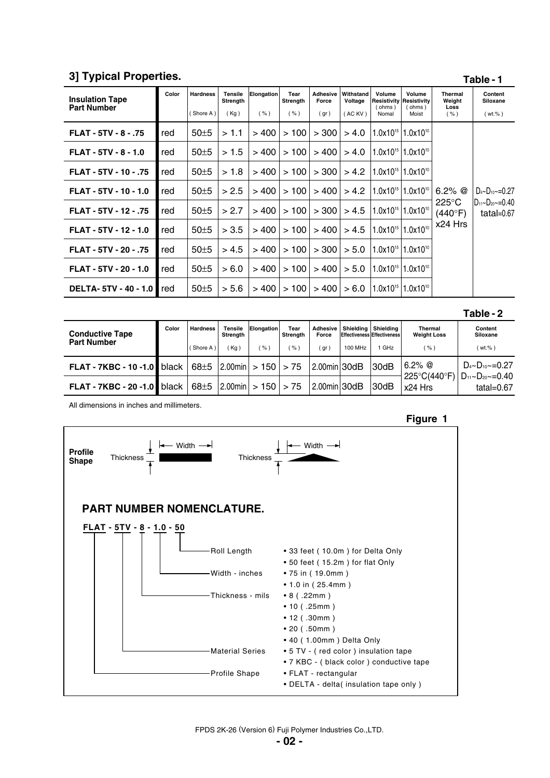#### FPDS 2K-26 (Version 6) Fuji Polymer Industries Co.,LTD.

# **3] Typical Properties.**

| <b>Insulation Tape</b><br><b>Part Number</b> | Color | <b>Hardness</b><br>(Shore A) | <b>Tensile</b><br>Strength<br>(Kg) | <b>Elongation</b><br>( %) | Tear<br>Strength<br>( %) | <b>Adhesive</b><br>Force<br>(gr) | Withstand<br>Voltage<br>(AC KV) | Volume<br>(ohms)<br>Nomal | Volume<br> Resistivitv   Resistivitv<br>(ohms)<br>Moist | <b>Thermal</b><br>Weight<br>Loss<br>( %)          | Content<br>Siloxane<br>$(wt,\%)$                             |
|----------------------------------------------|-------|------------------------------|------------------------------------|---------------------------|--------------------------|----------------------------------|---------------------------------|---------------------------|---------------------------------------------------------|---------------------------------------------------|--------------------------------------------------------------|
| FLAT - 5TV - 8 - .75                         | red   | 50±5                         | >1.1                               | >400                      | >100                     | > 300                            | > 4.0                           |                           | $1.0x10^{15}$ 1.0x10 <sup>10</sup>                      | 6.2% $@$<br>$225^{\circ}$ C<br>(440°F)<br>x24 Hrs | $D_{4}$ ~ $D_{10}$ ~=0.27<br>ID11~D20~=0.40<br>tatal= $0.67$ |
| <b>FLAT - 5TV - 8 - 1.0</b>                  | red   | 50±5                         | >1.5                               | >400                      | >100                     | >400                             | > 4.0                           |                           | $1.0x10^{15}$   1.0x10 <sup>10</sup>                    |                                                   |                                                              |
| FLAT - 5TV - 10 - .75                        | red   | 50±5                         | >1.8                               | >400                      | >100                     | > 300                            | > 4.2                           |                           | $1.0x10^{15}$   1.0x10 <sup>10</sup>                    |                                                   |                                                              |
| FLAT - 5TV - 10 - 1.0                        | red   | 50±5                         | > 2.5                              | >400                      | >100                     | > 400                            | > 4.2                           |                           | $1.0x10^{15}$   1.0x10 <sup>10</sup>                    |                                                   |                                                              |
| FLAT - 5TV - 12 - .75                        | red   | 50±5                         | > 2.7                              | >400                      | >100                     | > 300                            | > 4.5                           |                           | $1.0x10^{15}$ 1.0x10 <sup>10</sup>                      |                                                   |                                                              |
| FLAT - 5TV - 12 - 1.0                        | red   | 50±5                         | > 3.5                              | >400                      | >100                     | >400                             | > 4.5                           | $1.0x10^{15}$             | $1.0x10^{10}$                                           |                                                   |                                                              |
| FLAT - 5TV - 20 - .75                        | red   | 50±5                         | > 4.5                              | >400                      | >100                     | > 300                            | > 5.0                           |                           | $1.0x10^{15}$ 1.0x10 <sup>10</sup>                      |                                                   |                                                              |
| FLAT - 5TV - 20 - 1.0                        | red   | 50±5                         | > 6.0                              | >400                      | >100                     | > 400                            | > 5.0                           |                           | $1.0x10^{15}$ 1.0x10 <sup>10</sup>                      |                                                   |                                                              |
| <b>DELTA-5TV-40-1.0</b>                      | red   | $50\pm5$                     | > 5.6                              | >400                      | >100                     | >400                             | > 6.0                           |                           | $1.0x10^{15}$ 1.0x10 <sup>10</sup>                      |                                                   |                                                              |
|                                              |       |                              |                                    |                           |                          |                                  |                                 |                           |                                                         |                                                   | Table - 2                                                    |

|                                    |       |                 |                     |                                |                  |                     |         |                                                      |                                         | .                                                                        |
|------------------------------------|-------|-----------------|---------------------|--------------------------------|------------------|---------------------|---------|------------------------------------------------------|-----------------------------------------|--------------------------------------------------------------------------|
| <b>Conductive Tape</b>             | Color | <b>Hardness</b> | Tensile<br>Strength | Elongation                     | Tear<br>Strength | Adhesive  <br>Force |         | Shielding   Shielding<br>Effectiveness Effectiveness | <b>Thermal</b><br><b>Weight Loss</b>    | Content<br>Siloxane                                                      |
| <b>Part Number</b>                 |       | (Shore A)       | Kg)                 | %                              | %                | gr                  | 100 MHz | GHz                                                  | (%`                                     | (wt.%)                                                                   |
| <b>FLAT - 7KBC - 10 -1.0 black</b> |       | $68 \pm 5$      |                     | $ 2.00$ min $  > 150$ $  > 75$ |                  | 2.00min 30dB        |         | 30dB                                                 | $6.2\%$ @                               | $D_{4}$ ~ $D_{10}$ ~=0.27<br>$D_{11}$ ~ $D_{20}$ ~=0.40<br>tatal= $0.67$ |
| <b>FLAT - 7KBC - 20 -1.0 black</b> |       | $68 + 5$        |                     | $ 2.00$ min $  > 150$ $  > 75$ |                  | 2.00min 30dB        |         | 30dB                                                 | $225^{\circ}C(440^{\circ}F)$<br>x24 Hrs |                                                                          |

All dimensions in inches and millimeters.



**Table - 1**

**Figure 1**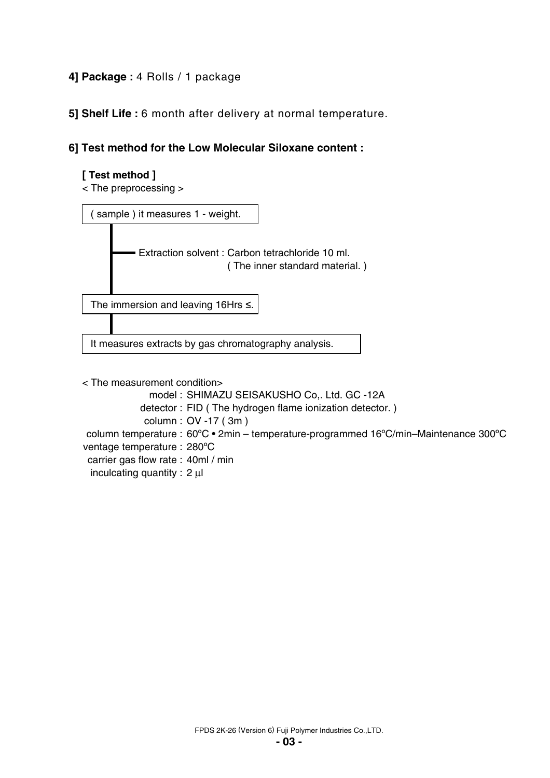# **4] Package :** 4 Rolls / 1 package

 **5] Shelf Life :** 6 month after delivery at normal temperature.

# **6] Test method for the Low Molecular Siloxane content :**

## **[ Test method ]**

< The preprocessing >



< The measurement condition>

- model : SHIMAZU SEISAKUSHO Co,. Ltd. GC -12A
- detector : FID ( The hydrogen flame ionization detector. )
- column : OV -17 ( 3m )

column temperature : 60ºC • 2min – temperature-programmed 16ºC/min–Maintenance 300ºC

ventage temperature : 280ºC

carrier gas flow rate : 40ml / min

inculcating quantity : 2 μl